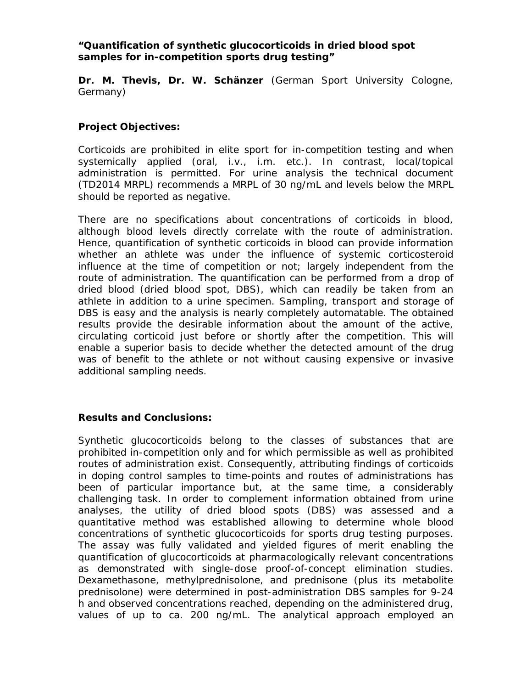## *"Quantification of synthetic glucocorticoids in dried blood spot samples for in-competition sports drug testing"*

**Dr. M. Thevis, Dr. W. Schänzer** (German Sport University Cologne, Germany)

## **Project Objectives:**

Corticoids are prohibited in elite sport for in-competition testing and when systemically applied (oral, i.v., i.m. etc.). In contrast, local/topical administration is permitted. For urine analysis the technical document (TD2014 MRPL) recommends a MRPL of 30 ng/mL and levels below the MRPL should be reported as negative.

There are no specifications about concentrations of corticoids in blood, although blood levels directly correlate with the route of administration. Hence, quantification of synthetic corticoids in blood can provide information whether an athlete was under the influence of systemic corticosteroid influence at the time of competition or not; largely independent from the route of administration. The quantification can be performed from a drop of dried blood (dried blood spot, DBS), which can readily be taken from an athlete in addition to a urine specimen. Sampling, transport and storage of DBS is easy and the analysis is nearly completely automatable. The obtained results provide the desirable information about the amount of the active, circulating corticoid just before or shortly after the competition. This will enable a superior basis to decide whether the detected amount of the drug was of benefit to the athlete or not without causing expensive or invasive additional sampling needs.

## **Results and Conclusions:**

Synthetic glucocorticoids belong to the classes of substances that are prohibited in-competition only and for which permissible as well as prohibited routes of administration exist. Consequently, attributing findings of corticoids in doping control samples to time-points and routes of administrations has been of particular importance but, at the same time, a considerably challenging task. In order to complement information obtained from urine analyses, the utility of dried blood spots (DBS) was assessed and a quantitative method was established allowing to determine whole blood concentrations of synthetic glucocorticoids for sports drug testing purposes. The assay was fully validated and yielded figures of merit enabling the quantification of glucocorticoids at pharmacologically relevant concentrations as demonstrated with single-dose proof-of-concept elimination studies. Dexamethasone, methylprednisolone, and prednisone (plus its metabolite prednisolone) were determined in post-administration DBS samples for 9-24 h and observed concentrations reached, depending on the administered drug, values of up to ca. 200 ng/mL. The analytical approach employed an